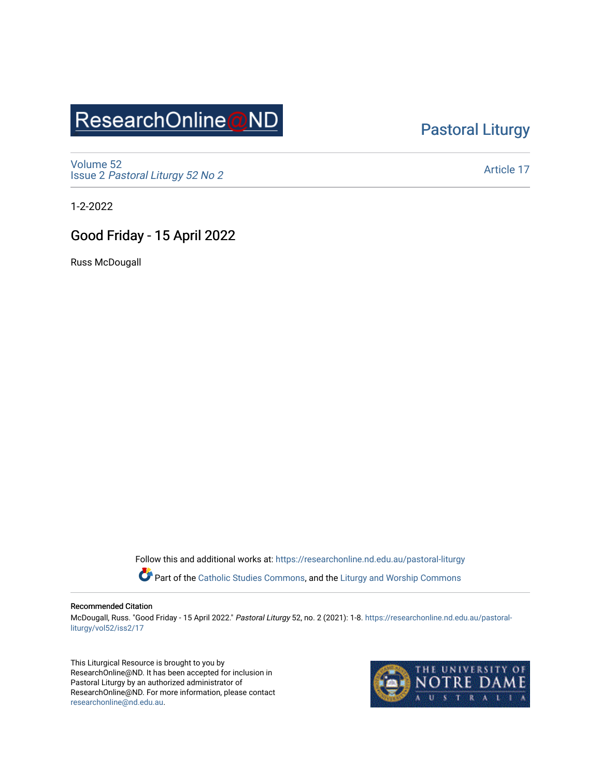# ResearchOnline@ND

### [Pastoral Liturgy](https://researchonline.nd.edu.au/pastoral-liturgy)

[Volume 52](https://researchonline.nd.edu.au/pastoral-liturgy/vol52) Issue 2 [Pastoral Liturgy 52 No 2](https://researchonline.nd.edu.au/pastoral-liturgy/vol52/iss2)

[Article 17](https://researchonline.nd.edu.au/pastoral-liturgy/vol52/iss2/17) 

1-2-2022

### Good Friday - 15 April 2022

Russ McDougall

Follow this and additional works at: [https://researchonline.nd.edu.au/pastoral-liturgy](https://researchonline.nd.edu.au/pastoral-liturgy?utm_source=researchonline.nd.edu.au%2Fpastoral-liturgy%2Fvol52%2Fiss2%2F17&utm_medium=PDF&utm_campaign=PDFCoverPages)

Part of the [Catholic Studies Commons,](http://network.bepress.com/hgg/discipline/1294?utm_source=researchonline.nd.edu.au%2Fpastoral-liturgy%2Fvol52%2Fiss2%2F17&utm_medium=PDF&utm_campaign=PDFCoverPages) and the Liturgy and Worship Commons

#### Recommended Citation

McDougall, Russ. "Good Friday - 15 April 2022." Pastoral Liturgy 52, no. 2 (2021): 1-8. [https://researchonline.nd.edu.au/pastoral](https://researchonline.nd.edu.au/pastoral-liturgy/vol52/iss2/17?utm_source=researchonline.nd.edu.au%2Fpastoral-liturgy%2Fvol52%2Fiss2%2F17&utm_medium=PDF&utm_campaign=PDFCoverPages)[liturgy/vol52/iss2/17](https://researchonline.nd.edu.au/pastoral-liturgy/vol52/iss2/17?utm_source=researchonline.nd.edu.au%2Fpastoral-liturgy%2Fvol52%2Fiss2%2F17&utm_medium=PDF&utm_campaign=PDFCoverPages) 

This Liturgical Resource is brought to you by ResearchOnline@ND. It has been accepted for inclusion in Pastoral Liturgy by an authorized administrator of ResearchOnline@ND. For more information, please contact [researchonline@nd.edu.au.](mailto:researchonline@nd.edu.au)

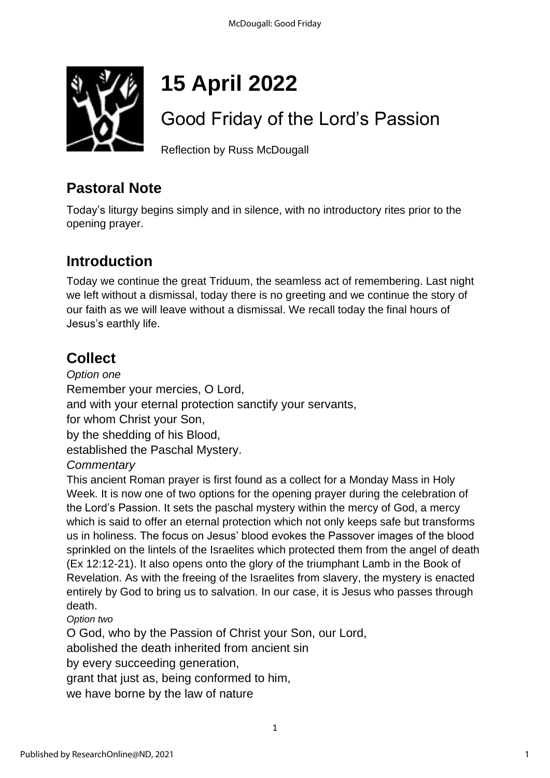

# **15 April 2022**

# Good Friday of the Lord's Passion

Reflection by Russ McDougall

### **Pastoral Note**

Today's liturgy begins simply and in silence, with no introductory rites prior to the opening prayer.

# **Introduction**

Today we continue the great Triduum, the seamless act of remembering. Last night we left without a dismissal, today there is no greeting and we continue the story of our faith as we will leave without a dismissal. We recall today the final hours of Jesus's earthly life.

# **Collect**

*Option one* Remember your mercies, O Lord, and with your eternal protection sanctify your servants, for whom Christ your Son, by the shedding of his Blood, established the Paschal Mystery. *Commentary*

This ancient Roman prayer is first found as a collect for a Monday Mass in Holy Week. It is now one of two options for the opening prayer during the celebration of the Lord's Passion. It sets the paschal mystery within the mercy of God, a mercy which is said to offer an eternal protection which not only keeps safe but transforms us in holiness. The focus on Jesus' blood evokes the Passover images of the blood sprinkled on the lintels of the Israelites which protected them from the angel of death (Ex 12:12-21). It also opens onto the glory of the triumphant Lamb in the Book of Revelation. As with the freeing of the Israelites from slavery, the mystery is enacted entirely by God to bring us to salvation. In our case, it is Jesus who passes through death.

*Option two*

O God, who by the Passion of Christ your Son, our Lord,

abolished the death inherited from ancient sin

by every succeeding generation,

grant that just as, being conformed to him,

we have borne by the law of nature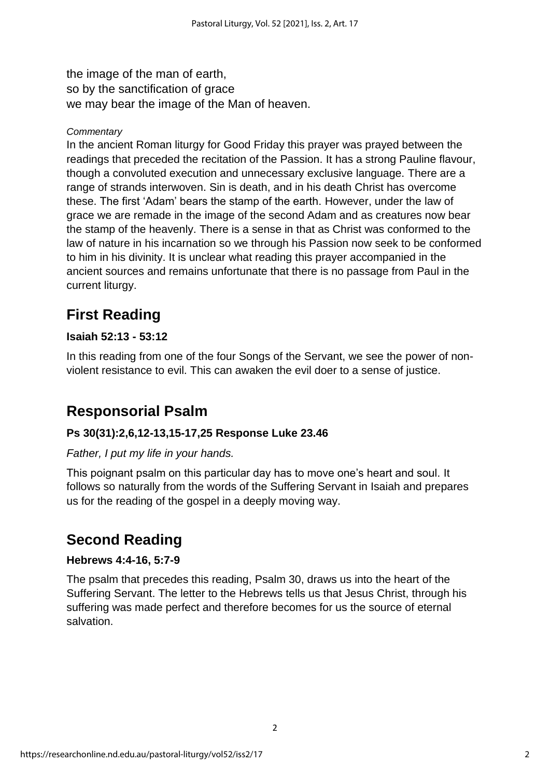the image of the man of earth, so by the sanctification of grace we may bear the image of the Man of heaven.

### *Commentary*

In the ancient Roman liturgy for Good Friday this prayer was prayed between the readings that preceded the recitation of the Passion. It has a strong Pauline flavour, though a convoluted execution and unnecessary exclusive language. There are a range of strands interwoven. Sin is death, and in his death Christ has overcome these. The first 'Adam' bears the stamp of the earth. However, under the law of grace we are remade in the image of the second Adam and as creatures now bear the stamp of the heavenly. There is a sense in that as Christ was conformed to the law of nature in his incarnation so we through his Passion now seek to be conformed to him in his divinity. It is unclear what reading this prayer accompanied in the ancient sources and remains unfortunate that there is no passage from Paul in the current liturgy.

# **First Reading**

### **Isaiah 52:13 - 53:12**

In this reading from one of the four Songs of the Servant, we see the power of nonviolent resistance to evil. This can awaken the evil doer to a sense of justice.

### **Responsorial Psalm**

### **Ps 30(31):2,6,12-13,15-17,25 Response Luke 23.46**

### *Father, I put my life in your hands.*

This poignant psalm on this particular day has to move one's heart and soul. It follows so naturally from the words of the Suffering Servant in Isaiah and prepares us for the reading of the gospel in a deeply moving way.

### **Second Reading**

### **Hebrews 4:4-16, 5:7-9**

The psalm that precedes this reading, Psalm 30, draws us into the heart of the Suffering Servant. The letter to the Hebrews tells us that Jesus Christ, through his suffering was made perfect and therefore becomes for us the source of eternal salvation.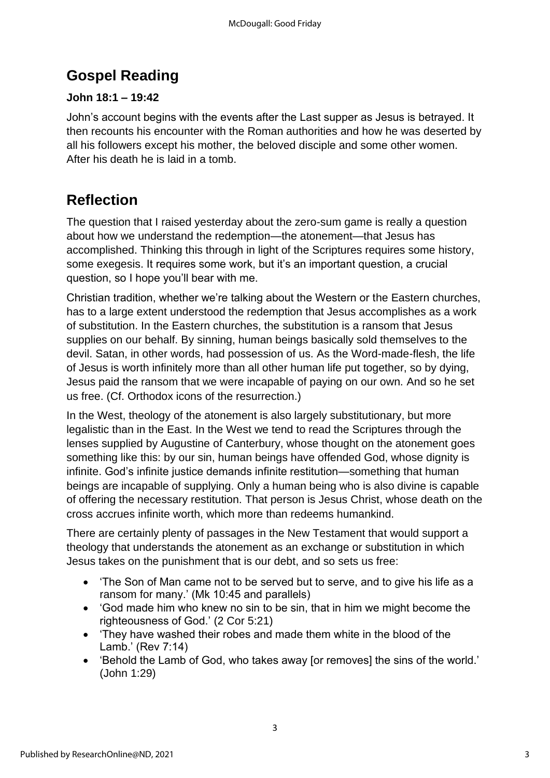## **Gospel Reading**

### **John 18:1 – 19:42**

John's account begins with the events after the Last supper as Jesus is betrayed. It then recounts his encounter with the Roman authorities and how he was deserted by all his followers except his mother, the beloved disciple and some other women. After his death he is laid in a tomb.

## **Reflection**

The question that I raised yesterday about the zero-sum game is really a question about how we understand the redemption—the atonement—that Jesus has accomplished. Thinking this through in light of the Scriptures requires some history, some exegesis. It requires some work, but it's an important question, a crucial question, so I hope you'll bear with me.

Christian tradition, whether we're talking about the Western or the Eastern churches, has to a large extent understood the redemption that Jesus accomplishes as a work of substitution. In the Eastern churches, the substitution is a ransom that Jesus supplies on our behalf. By sinning, human beings basically sold themselves to the devil. Satan, in other words, had possession of us. As the Word-made-flesh, the life of Jesus is worth infinitely more than all other human life put together, so by dying, Jesus paid the ransom that we were incapable of paying on our own. And so he set us free. (Cf. Orthodox icons of the resurrection.)

In the West, theology of the atonement is also largely substitutionary, but more legalistic than in the East. In the West we tend to read the Scriptures through the lenses supplied by Augustine of Canterbury, whose thought on the atonement goes something like this: by our sin, human beings have offended God, whose dignity is infinite. God's infinite justice demands infinite restitution—something that human beings are incapable of supplying. Only a human being who is also divine is capable of offering the necessary restitution. That person is Jesus Christ, whose death on the cross accrues infinite worth, which more than redeems humankind.

There are certainly plenty of passages in the New Testament that would support a theology that understands the atonement as an exchange or substitution in which Jesus takes on the punishment that is our debt, and so sets us free:

- 'The Son of Man came not to be served but to serve, and to give his life as a ransom for many.' (Mk 10:45 and parallels)
- 'God made him who knew no sin to be sin, that in him we might become the righteousness of God.' (2 Cor 5:21)
- 'They have washed their robes and made them white in the blood of the Lamb.' (Rev 7:14)
- 'Behold the Lamb of God, who takes away [or removes] the sins of the world.' (John 1:29)

3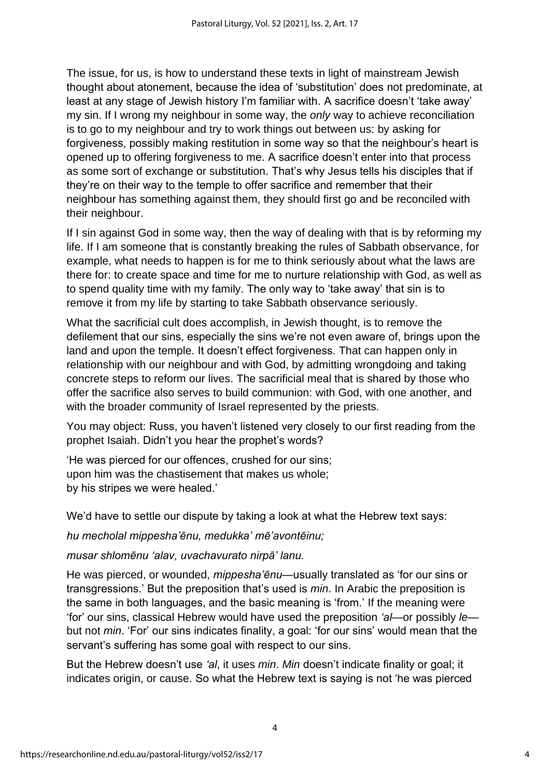The issue, for us, is how to understand these texts in light of mainstream Jewish thought about atonement, because the idea of 'substitution' does not predominate, at least at any stage of Jewish history I'm familiar with. A sacrifice doesn't 'take away' my sin. If I wrong my neighbour in some way, the *only* way to achieve reconciliation is to go to my neighbour and try to work things out between us: by asking for forgiveness, possibly making restitution in some way so that the neighbour's heart is opened up to offering forgiveness to me. A sacrifice doesn't enter into that process as some sort of exchange or substitution. That's why Jesus tells his disciples that if they're on their way to the temple to offer sacrifice and remember that their neighbour has something against them, they should first go and be reconciled with their neighbour.

If I sin against God in some way, then the way of dealing with that is by reforming my life. If I am someone that is constantly breaking the rules of Sabbath observance, for example, what needs to happen is for me to think seriously about what the laws are there for: to create space and time for me to nurture relationship with God, as well as to spend quality time with my family. The only way to 'take away' that sin is to remove it from my life by starting to take Sabbath observance seriously.

What the sacrificial cult does accomplish, in Jewish thought, is to remove the defilement that our sins, especially the sins we're not even aware of, brings upon the land and upon the temple. It doesn't effect forgiveness. That can happen only in relationship with our neighbour and with God, by admitting wrongdoing and taking concrete steps to reform our lives. The sacrificial meal that is shared by those who offer the sacrifice also serves to build communion: with God, with one another, and with the broader community of Israel represented by the priests.

You may object: Russ, you haven't listened very closely to our first reading from the prophet Isaiah. Didn't you hear the prophet's words?

'He was pierced for our offences, crushed for our sins; upon him was the chastisement that makes us whole; by his stripes we were healed.'

We'd have to settle our dispute by taking a look at what the Hebrew text says:

*hu mecholal mippesha'ēnu, medukka' mē'avontēinu;*

*musar shlomēnu 'alav, uvachavurato nirpā' lanu.*

He was pierced, or wounded, *mippesha'ēnu*—usually translated as 'for our sins or transgressions.' But the preposition that's used is *min*. In Arabic the preposition is the same in both languages, and the basic meaning is 'from.' If the meaning were 'for' our sins, classical Hebrew would have used the preposition *'al*—or possibly *le* but not *min*. 'For' our sins indicates finality, a goal: 'for our sins' would mean that the servant's suffering has some goal with respect to our sins.

But the Hebrew doesn't use *'al*, it uses *min*. *Min* doesn't indicate finality or goal; it indicates origin, or cause. So what the Hebrew text is saying is not 'he was pierced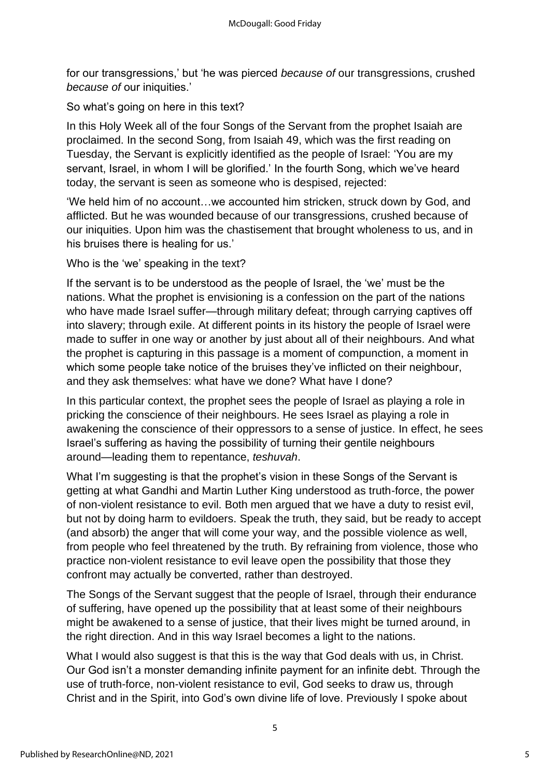for our transgressions,' but 'he was pierced *because of* our transgressions, crushed *because of* our iniquities.'

So what's going on here in this text?

In this Holy Week all of the four Songs of the Servant from the prophet Isaiah are proclaimed. In the second Song, from Isaiah 49, which was the first reading on Tuesday, the Servant is explicitly identified as the people of Israel: 'You are my servant, Israel, in whom I will be glorified.' In the fourth Song, which we've heard today, the servant is seen as someone who is despised, rejected:

'We held him of no account…we accounted him stricken, struck down by God, and afflicted. But he was wounded because of our transgressions, crushed because of our iniquities. Upon him was the chastisement that brought wholeness to us, and in his bruises there is healing for us.'

Who is the 'we' speaking in the text?

If the servant is to be understood as the people of Israel, the 'we' must be the nations. What the prophet is envisioning is a confession on the part of the nations who have made Israel suffer—through military defeat; through carrying captives off into slavery; through exile. At different points in its history the people of Israel were made to suffer in one way or another by just about all of their neighbours. And what the prophet is capturing in this passage is a moment of compunction, a moment in which some people take notice of the bruises they've inflicted on their neighbour, and they ask themselves: what have we done? What have I done?

In this particular context, the prophet sees the people of Israel as playing a role in pricking the conscience of their neighbours. He sees Israel as playing a role in awakening the conscience of their oppressors to a sense of justice. In effect, he sees Israel's suffering as having the possibility of turning their gentile neighbours around—leading them to repentance, *teshuvah*.

What I'm suggesting is that the prophet's vision in these Songs of the Servant is getting at what Gandhi and Martin Luther King understood as truth-force, the power of non-violent resistance to evil. Both men argued that we have a duty to resist evil, but not by doing harm to evildoers. Speak the truth, they said, but be ready to accept (and absorb) the anger that will come your way, and the possible violence as well, from people who feel threatened by the truth. By refraining from violence, those who practice non-violent resistance to evil leave open the possibility that those they confront may actually be converted, rather than destroyed.

The Songs of the Servant suggest that the people of Israel, through their endurance of suffering, have opened up the possibility that at least some of their neighbours might be awakened to a sense of justice, that their lives might be turned around, in the right direction. And in this way Israel becomes a light to the nations.

What I would also suggest is that this is the way that God deals with us, in Christ. Our God isn't a monster demanding infinite payment for an infinite debt. Through the use of truth-force, non-violent resistance to evil, God seeks to draw us, through Christ and in the Spirit, into God's own divine life of love. Previously I spoke about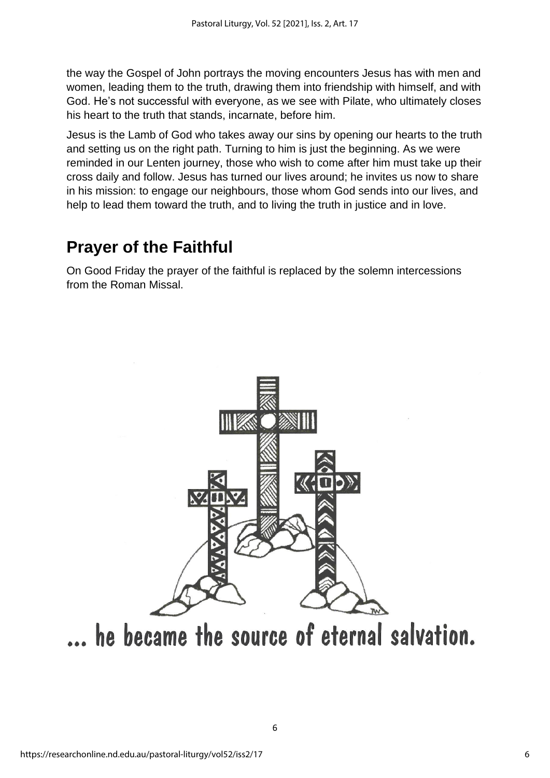the way the Gospel of John portrays the moving encounters Jesus has with men and women, leading them to the truth, drawing them into friendship with himself, and with God. He's not successful with everyone, as we see with Pilate, who ultimately closes his heart to the truth that stands, incarnate, before him.

Jesus is the Lamb of God who takes away our sins by opening our hearts to the truth and setting us on the right path. Turning to him is just the beginning. As we were reminded in our Lenten journey, those who wish to come after him must take up their cross daily and follow. Jesus has turned our lives around; he invites us now to share in his mission: to engage our neighbours, those whom God sends into our lives, and help to lead them toward the truth, and to living the truth in justice and in love.

# **Prayer of the Faithful**

On Good Friday the prayer of the faithful is replaced by the solemn intercessions from the Roman Missal.



... he became the source of eternal salvation.

6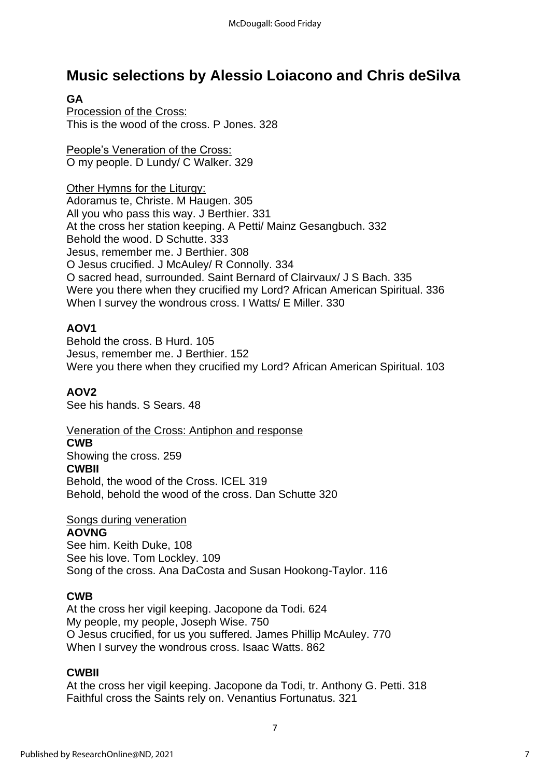### **Music selections by Alessio Loiacono and Chris deSilva**

### **GA**

Procession of the Cross: This is the wood of the cross. P Jones. 328

People's Veneration of the Cross: O my people. D Lundy/ C Walker. 329

Other Hymns for the Liturgy:

Adoramus te, Christe. M Haugen. 305 All you who pass this way. J Berthier. 331 At the cross her station keeping. A Petti/ Mainz Gesangbuch. 332 Behold the wood. D Schutte. 333 Jesus, remember me. J Berthier. 308 O Jesus crucified. J McAuley/ R Connolly. 334 O sacred head, surrounded. Saint Bernard of Clairvaux/ J S Bach. 335 Were you there when they crucified my Lord? African American Spiritual. 336 When I survey the wondrous cross. I Watts/ E Miller. 330

### **AOV1**

Behold the cross. B Hurd. 105 Jesus, remember me. J Berthier. 152 Were you there when they crucified my Lord? African American Spiritual. 103

### **AOV2**

See his hands. S Sears. 48

### Veneration of the Cross: Antiphon and response

#### **CWB**

Showing the cross. 259 **CWBII**

Behold, the wood of the Cross. ICEL 319 Behold, behold the wood of the cross. Dan Schutte 320

### Songs during veneration

#### **AOVNG**

See him. Keith Duke, 108 See his love. Tom Lockley. 109 Song of the cross. Ana DaCosta and Susan Hookong-Taylor. 116

### **CWB**

At the cross her vigil keeping. Jacopone da Todi. 624 My people, my people, Joseph Wise. 750 O Jesus crucified, for us you suffered. James Phillip McAuley. 770 When I survey the wondrous cross. Isaac Watts. 862

### **CWBII**

At the cross her vigil keeping. Jacopone da Todi, tr. Anthony G. Petti. 318 Faithful cross the Saints rely on. Venantius Fortunatus. 321